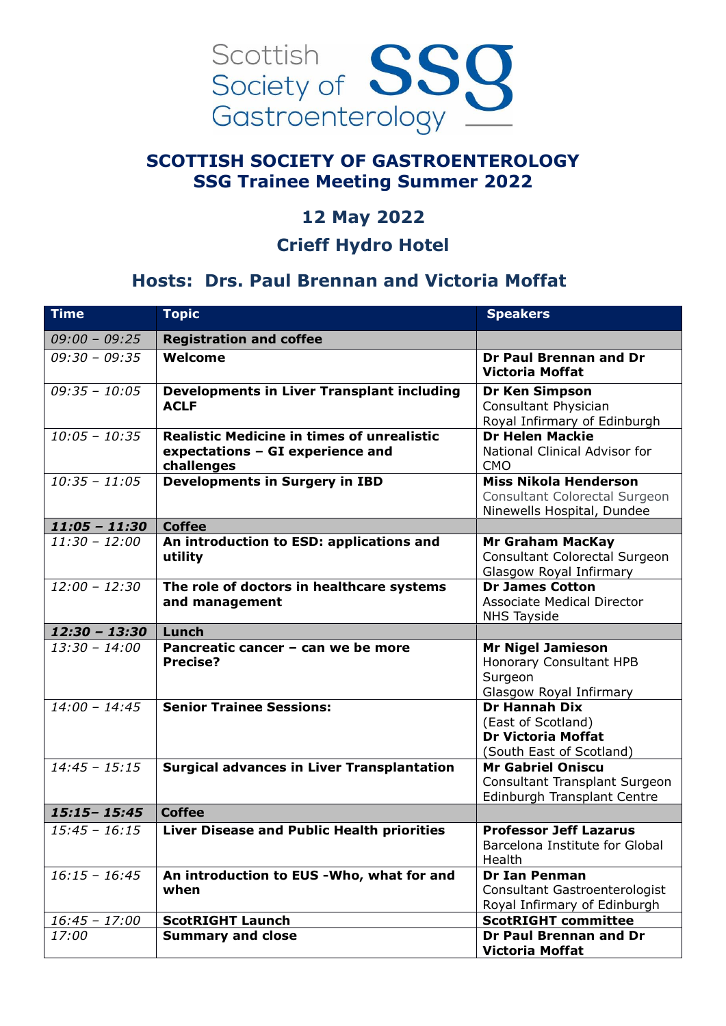

### **SCOTTISH SOCIETY OF GASTROENTEROLOGY SSG Trainee Meeting Summer 2022**

## **12 May 2022**

#### **Crieff Hydro Hotel**

## **Hosts: Drs. Paul Brennan and Victoria Moffat**

| <b>Time</b>     | <b>Topic</b>                                                                                        | <b>Speakers</b>                                                                                     |
|-----------------|-----------------------------------------------------------------------------------------------------|-----------------------------------------------------------------------------------------------------|
| $09:00 - 09:25$ | <b>Registration and coffee</b>                                                                      |                                                                                                     |
| $09:30 - 09:35$ | Welcome                                                                                             | Dr Paul Brennan and Dr<br><b>Victoria Moffat</b>                                                    |
| $09:35 - 10:05$ | <b>Developments in Liver Transplant including</b><br><b>ACLF</b>                                    | <b>Dr Ken Simpson</b><br>Consultant Physician<br>Royal Infirmary of Edinburgh                       |
| $10:05 - 10:35$ | <b>Realistic Medicine in times of unrealistic</b><br>expectations - GI experience and<br>challenges | <b>Dr Helen Mackie</b><br>National Clinical Advisor for<br><b>CMO</b>                               |
| $10:35 - 11:05$ | <b>Developments in Surgery in IBD</b>                                                               | <b>Miss Nikola Henderson</b><br><b>Consultant Colorectal Surgeon</b><br>Ninewells Hospital, Dundee  |
| $11:05 - 11:30$ | <b>Coffee</b>                                                                                       |                                                                                                     |
| $11:30 - 12:00$ | An introduction to ESD: applications and<br>utility                                                 | <b>Mr Graham MacKay</b><br><b>Consultant Colorectal Surgeon</b><br>Glasgow Royal Infirmary          |
| $12:00 - 12:30$ | The role of doctors in healthcare systems<br>and management                                         | <b>Dr James Cotton</b><br><b>Associate Medical Director</b><br><b>NHS Tayside</b>                   |
| $12:30 - 13:30$ | Lunch                                                                                               |                                                                                                     |
| $13:30 - 14:00$ | Pancreatic cancer - can we be more<br><b>Precise?</b>                                               | <b>Mr Nigel Jamieson</b><br>Honorary Consultant HPB<br>Surgeon<br>Glasgow Royal Infirmary           |
| $14:00 - 14:45$ | <b>Senior Trainee Sessions:</b>                                                                     | <b>Dr Hannah Dix</b><br>(East of Scotland)<br><b>Dr Victoria Moffat</b><br>(South East of Scotland) |
| $14:45 - 15:15$ | <b>Surgical advances in Liver Transplantation</b>                                                   | <b>Mr Gabriel Oniscu</b><br>Consultant Transplant Surgeon<br>Edinburgh Transplant Centre            |
| $15:15 - 15:45$ | <b>Coffee</b>                                                                                       |                                                                                                     |
| $15:45 - 16:15$ | <b>Liver Disease and Public Health priorities</b>                                                   | <b>Professor Jeff Lazarus</b><br>Barcelona Institute for Global<br>Health                           |
| $16:15 - 16:45$ | An introduction to EUS -Who, what for and<br>when                                                   | <b>Dr Ian Penman</b><br><b>Consultant Gastroenterologist</b><br>Royal Infirmary of Edinburgh        |
| $16:45 - 17:00$ | <b>ScotRIGHT Launch</b>                                                                             | <b>ScotRIGHT committee</b>                                                                          |
| 17:00           | <b>Summary and close</b>                                                                            | Dr Paul Brennan and Dr<br><b>Victoria Moffat</b>                                                    |